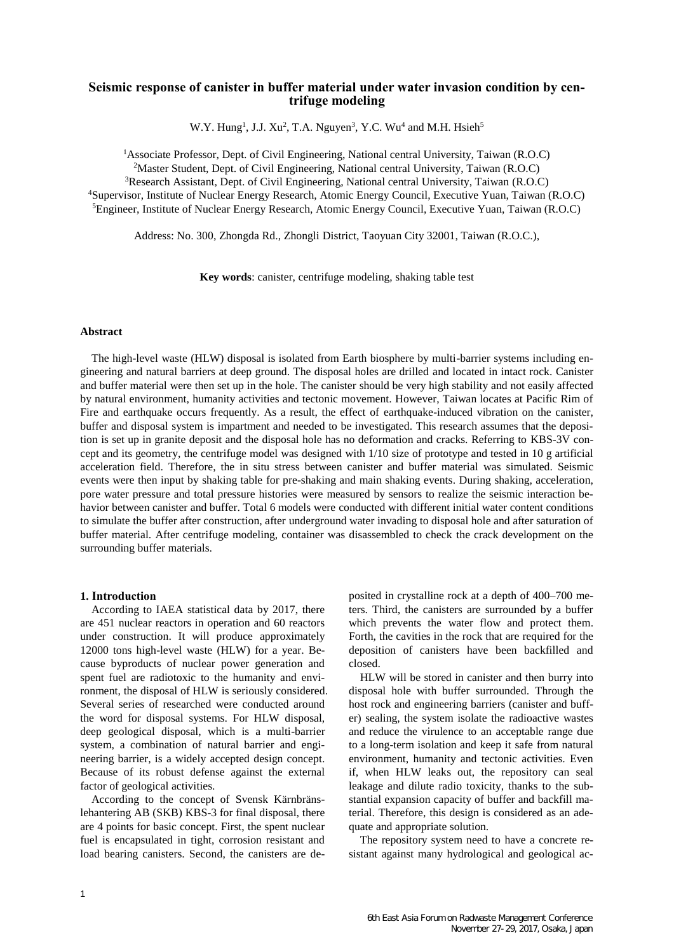## **Seismic response of canister in buffer material under water invasion condition by centrifuge modeling**

W.Y. Hung<sup>1</sup>, J.J. Xu<sup>2</sup>, T.A. Nguyen<sup>3</sup>, Y.C. Wu<sup>4</sup> and M.H. Hsieh<sup>5</sup>

Associate Professor, Dept. of Civil Engineering, National central University, Taiwan (R.O.C) Master Student, Dept. of Civil Engineering, National central University, Taiwan (R.O.C) Research Assistant, Dept. of Civil Engineering, National central University, Taiwan (R.O.C) Supervisor, Institute of Nuclear Energy Research, Atomic Energy Council, Executive Yuan, Taiwan (R.O.C) Engineer, Institute of Nuclear Energy Research, Atomic Energy Council, Executive Yuan, Taiwan (R.O.C)

Address: No. 300, Zhongda Rd., Zhongli District, Taoyuan City 32001, Taiwan (R.O.C.),

**Key words**: canister, centrifuge modeling, shaking table test

### **Abstract**

The high-level waste (HLW) disposal is isolated from Earth biosphere by multi-barrier systems including engineering and natural barriers at deep ground. The disposal holes are drilled and located in intact rock. Canister and buffer material were then set up in the hole. The canister should be very high stability and not easily affected by natural environment, humanity activities and tectonic movement. However, Taiwan locates at Pacific Rim of Fire and earthquake occurs frequently. As a result, the effect of earthquake-induced vibration on the canister, buffer and disposal system is impartment and needed to be investigated. This research assumes that the deposition is set up in granite deposit and the disposal hole has no deformation and cracks. Referring to KBS-3V concept and its geometry, the centrifuge model was designed with 1/10 size of prototype and tested in 10 g artificial acceleration field. Therefore, the in situ stress between canister and buffer material was simulated. Seismic events were then input by shaking table for pre-shaking and main shaking events. During shaking, acceleration, pore water pressure and total pressure histories were measured by sensors to realize the seismic interaction behavior between canister and buffer. Total 6 models were conducted with different initial water content conditions to simulate the buffer after construction, after underground water invading to disposal hole and after saturation of buffer material. After centrifuge modeling, container was disassembled to check the crack development on the surrounding buffer materials.

#### **1. Introduction**

According to IAEA statistical data by 2017, there are 451 nuclear reactors in operation and 60 reactors under construction. It will produce approximately 12000 tons high-level waste (HLW) for a year. Because byproducts of nuclear power generation and spent fuel are radiotoxic to the humanity and environment, the disposal of HLW is seriously considered. Several series of researched were conducted around the word for disposal systems. For HLW disposal, deep geological disposal, which is a multi-barrier system, a combination of natural barrier and engineering barrier, is a widely accepted design concept. Because of its robust defense against the external factor of geological activities.

According to the concept of Svensk Kärnbränslehantering AB (SKB) KBS-3 for final disposal, there are 4 points for basic concept. First, the spent nuclear fuel is encapsulated in tight, corrosion resistant and load bearing canisters. Second, the canisters are deposited in crystalline rock at a depth of 400–700 meters. Third, the canisters are surrounded by a buffer which prevents the water flow and protect them. Forth, the cavities in the rock that are required for the deposition of canisters have been backfilled and closed.

HLW will be stored in canister and then burry into disposal hole with buffer surrounded. Through the host rock and engineering barriers (canister and buffer) sealing, the system isolate the radioactive wastes and reduce the virulence to an acceptable range due to a long-term isolation and keep it safe from natural environment, humanity and tectonic activities. Even if, when HLW leaks out, the repository can seal leakage and dilute radio toxicity, thanks to the substantial expansion capacity of buffer and backfill material. Therefore, this design is considered as an adequate and appropriate solution.

The repository system need to have a concrete resistant against many hydrological and geological ac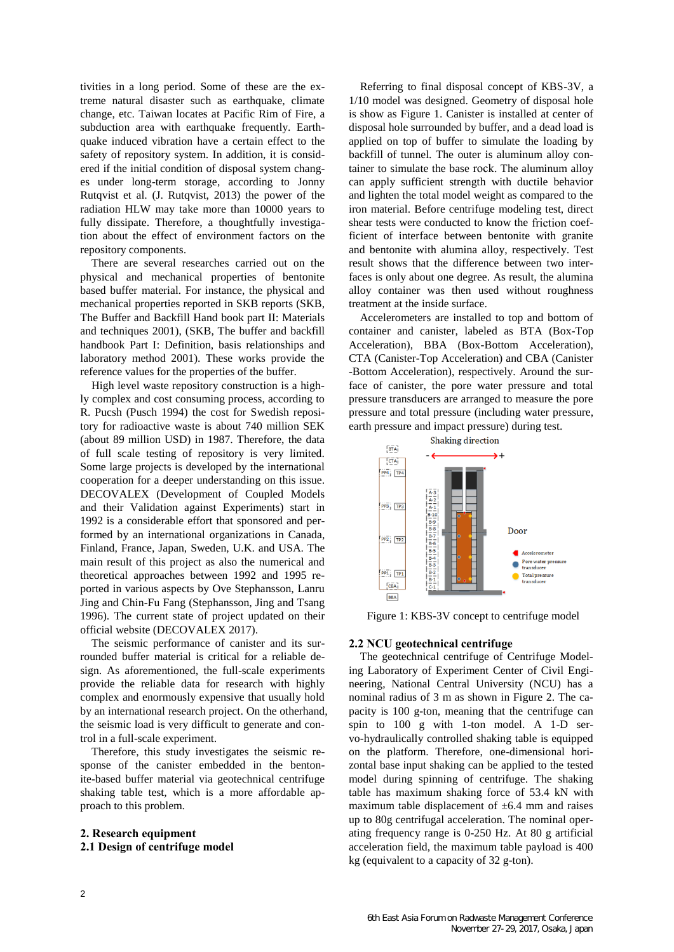tivities in a long period. Some of these are the extreme natural disaster such as earthquake, climate change, etc. Taiwan locates at Pacific Rim of Fire, a subduction area with earthquake frequently. Earthquake induced vibration have a certain effect to the safety of repository system. In addition, it is considered if the initial condition of disposal system changes under long-term storage, according to Jonny Rutqvist et al. (J. Rutqvist, 2013) the power of the radiation HLW may take more than 10000 years to fully dissipate. Therefore, a thoughtfully investigation about the effect of environment factors on the repository components.

There are several researches carried out on the physical and mechanical properties of bentonite based buffer material. For instance, the physical and mechanical properties reported in SKB reports (SKB, The Buffer and Backfill Hand book part II: Materials and techniques 2001), (SKB, The buffer and backfill handbook Part I: Definition, basis relationships and laboratory method 2001). These works provide the reference values for the properties of the buffer.

High level waste repository construction is a highly complex and cost consuming process, according to R. Pucsh (Pusch 1994) the cost for Swedish repository for radioactive waste is about 740 million SEK (about 89 million USD) in 1987. Therefore, the data of full scale testing of repository is very limited. Some large projects is developed by the international cooperation for a deeper understanding on this issue. DECOVALEX (Development of Coupled Models and their Validation against Experiments) start in 1992 is a considerable effort that sponsored and performed by an international organizations in Canada, Finland, France, Japan, Sweden, U.K. and USA. The main result of this project as also the numerical and theoretical approaches between 1992 and 1995 reported in various aspects by Ove Stephansson, Lanru Jing and Chin-Fu Fang (Stephansson, Jing and Tsang 1996). The current state of project updated on their official website (DECOVALEX 2017).

The seismic performance of canister and its surrounded buffer material is critical for a reliable design. As aforementioned, the full-scale experiments provide the reliable data for research with highly complex and enormously expensive that usually hold by an international research project. On the otherhand, the seismic load is very difficult to generate and control in a full-scale experiment.

Therefore, this study investigates the seismic response of the canister embedded in the bentonite-based buffer material via geotechnical centrifuge shaking table test, which is a more affordable approach to this problem.

# **2. Research equipment**

# **2.1 Design of centrifuge model**

Referring to final disposal concept of KBS-3V, a 1/10 model was designed. Geometry of disposal hole is show as Figure 1. Canister is installed at center of disposal hole surrounded by buffer, and a dead load is applied on top of buffer to simulate the loading by backfill of tunnel. The outer is aluminum alloy container to simulate the base rock. The aluminum alloy can apply sufficient strength with ductile behavior and lighten the total model weight as compared to the iron material. Before centrifuge modeling test, direct shear tests were conducted to know the friction coefficient of interface between bentonite with granite and bentonite with alumina alloy, respectively. Test result shows that the difference between two interfaces is only about one degree. As result, the alumina alloy container was then used without roughness treatment at the inside surface.

Accelerometers are installed to top and bottom of container and canister, labeled as BTA (Box-Top Acceleration), BBA (Box-Bottom Acceleration), CTA (Canister-Top Acceleration) and CBA (Canister -Bottom Acceleration), respectively. Around the surface of canister, the pore water pressure and total pressure transducers are arranged to measure the pore pressure and total pressure (including water pressure, earth pressure and impact pressure) during test.



Figure 1: KBS-3V concept to centrifuge model

# **2.2 NCU geotechnical centrifuge**

The geotechnical centrifuge of Centrifuge Modeling Laboratory of Experiment Center of Civil Engineering, National Central University (NCU) has a nominal radius of 3 m as shown in Figure 2. The capacity is 100 g-ton, meaning that the centrifuge can spin to 100 g with 1-ton model. A 1-D servo-hydraulically controlled shaking table is equipped on the platform. Therefore, one-dimensional horizontal base input shaking can be applied to the tested model during spinning of centrifuge. The shaking table has maximum shaking force of 53.4 kN with maximum table displacement of  $\pm 6.4$  mm and raises up to 80g centrifugal acceleration. The nominal operating frequency range is 0-250 Hz. At 80 g artificial acceleration field, the maximum table payload is 400 kg (equivalent to a capacity of 32 g-ton).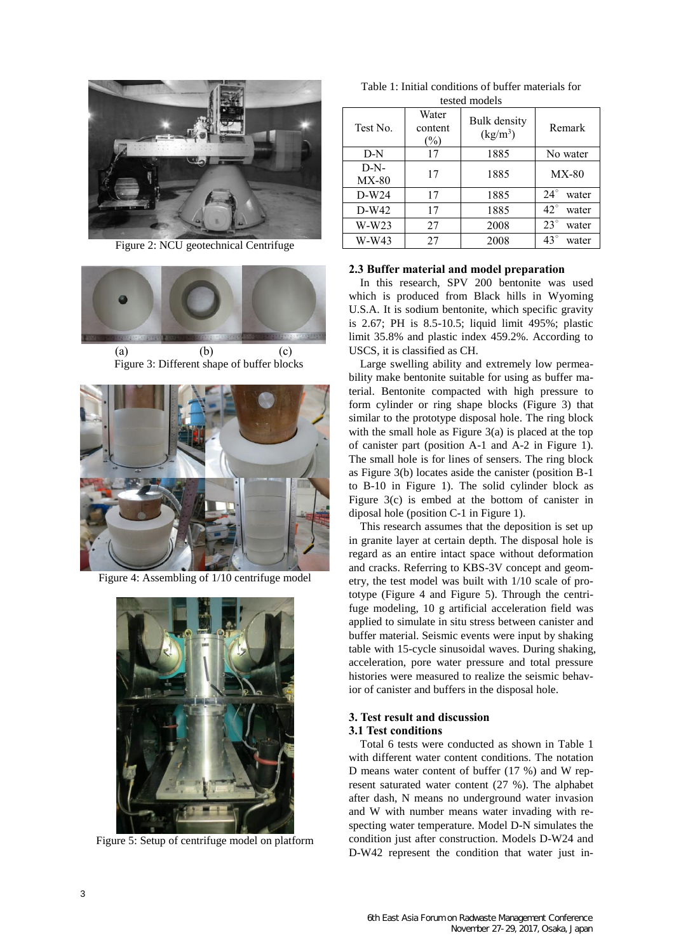

Figure 2: NCU geotechnical Centrifuge



Figure 3: Different shape of buffer blocks



Figure 4: Assembling of 1/10 centrifuge model



Figure 5: Setup of centrifuge model on platform

| Table 1: Initial conditions of buffer materials for |  |  |  |  |
|-----------------------------------------------------|--|--|--|--|
| tested models                                       |  |  |  |  |

| Test No.          | Water<br>content<br>$(\%)$ | <b>Bulk</b> density<br>$(kg/m^3)$ | Remark                |  |
|-------------------|----------------------------|-----------------------------------|-----------------------|--|
| $D-N$             | 17                         | 1885                              | No water              |  |
| $D-N-$<br>$MX-80$ | 17                         | 1885                              | $MX-80$               |  |
| $D-W24$           | 17                         | 1885                              | $24^{\circ}$<br>water |  |
| $D-W42$           | 17                         | 1885                              | $42^{\circ}$<br>water |  |
| $W-W23$           | 27                         | 2008                              | $23^\circ$<br>water   |  |
| W-W43             | 27                         | 2008                              | $43^{\circ}$<br>water |  |

### **2.3 Buffer material and model preparation**

In this research, SPV 200 bentonite was used which is produced from Black hills in Wyoming U.S.A. It is sodium bentonite, which specific gravity is 2.67; PH is 8.5-10.5; liquid limit 495%; plastic limit 35.8% and plastic index 459.2%. According to USCS, it is classified as CH.

Large swelling ability and extremely low permeability make bentonite suitable for using as buffer material. Bentonite compacted with high pressure to form cylinder or ring shape blocks (Figure 3) that similar to the prototype disposal hole. The ring block with the small hole as Figure  $3(a)$  is placed at the top of canister part (position A-1 and A-2 in Figure 1). The small hole is for lines of sensers. The ring block as Figure 3(b) locates aside the canister (position B-1 to B-10 in Figure 1). The solid cylinder block as Figure 3(c) is embed at the bottom of canister in diposal hole (position C-1 in Figure 1).

This research assumes that the deposition is set up in granite layer at certain depth. The disposal hole is regard as an entire intact space without deformation and cracks. Referring to KBS-3V concept and geometry, the test model was built with 1/10 scale of prototype (Figure 4 and Figure 5). Through the centrifuge modeling, 10 g artificial acceleration field was applied to simulate in situ stress between canister and buffer material. Seismic events were input by shaking table with 15-cycle sinusoidal waves. During shaking, acceleration, pore water pressure and total pressure histories were measured to realize the seismic behavior of canister and buffers in the disposal hole.

## **3. Test result and discussion 3.1 Test conditions**

Total 6 tests were conducted as shown in Table 1 with different water content conditions. The notation D means water content of buffer (17 %) and W represent saturated water content (27 %). The alphabet after dash, N means no underground water invasion and W with number means water invading with respecting water temperature. Model D-N simulates the condition just after construction. Models D-W24 and D-W42 represent the condition that water just in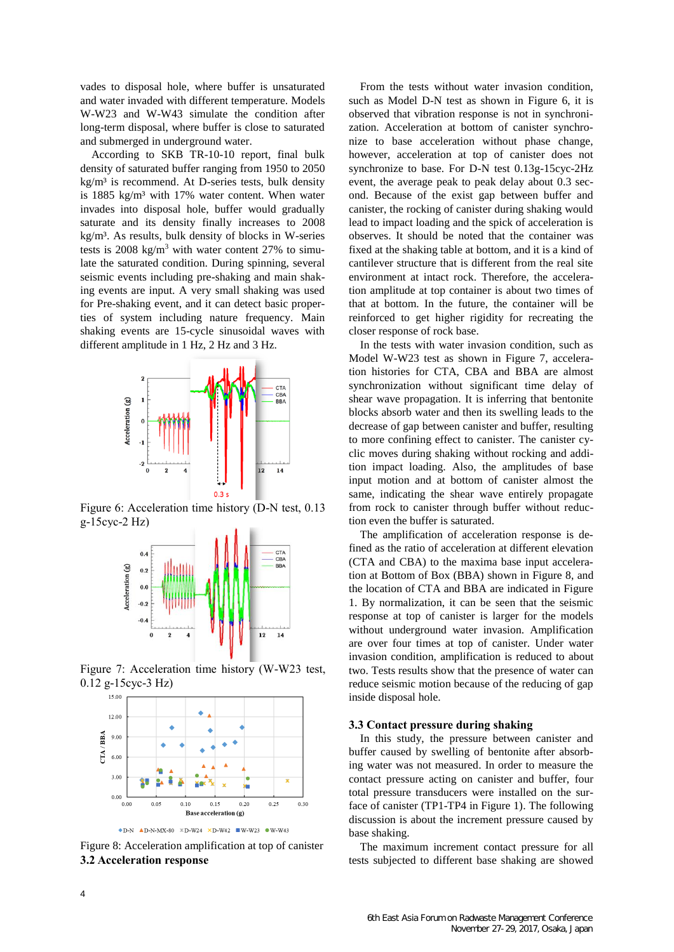vades to disposal hole, where buffer is unsaturated and water invaded with different temperature. Models W-W23 and W-W43 simulate the condition after long-term disposal, where buffer is close to saturated and submerged in underground water.

According to SKB TR-10-10 report, final bulk density of saturated buffer ranging from 1950 to 2050 kg/m<sup>3</sup> is recommend. At D-series tests, bulk density is 1885 kg/m³ with 17% water content. When water invades into disposal hole, buffer would gradually saturate and its density finally increases to 2008 kg/m³. As results, bulk density of blocks in W-series tests is  $2008 \text{ kg/m}^3$  with water content 27% to simulate the saturated condition. During spinning, several seismic events including pre-shaking and main shaking events are input. A very small shaking was used for Pre-shaking event, and it can detect basic properties of system including nature frequency. Main shaking events are 15-cycle sinusoidal waves with different amplitude in 1 Hz, 2 Hz and 3 Hz.



Figure 6: Acceleration time history (D-N test, 0.13 g-15cyc-2 Hz)



Figure 7: Acceleration time history (W-W23 test, 0.12 g-15cyc-3 Hz)



Figure 8: Acceleration amplification at top of canister **3.2 Acceleration response**

From the tests without water invasion condition, such as Model D-N test as shown in Figure 6, it is observed that vibration response is not in synchronization. Acceleration at bottom of canister synchronize to base acceleration without phase change, however, acceleration at top of canister does not synchronize to base. For D-N test 0.13g-15cyc-2Hz event, the average peak to peak delay about 0.3 second. Because of the exist gap between buffer and canister, the rocking of canister during shaking would lead to impact loading and the spick of acceleration is observes. It should be noted that the container was fixed at the shaking table at bottom, and it is a kind of cantilever structure that is different from the real site environment at intact rock. Therefore, the acceleration amplitude at top container is about two times of that at bottom. In the future, the container will be reinforced to get higher rigidity for recreating the closer response of rock base.

In the tests with water invasion condition, such as Model W-W23 test as shown in Figure 7, acceleration histories for CTA, CBA and BBA are almost synchronization without significant time delay of shear wave propagation. It is inferring that bentonite blocks absorb water and then its swelling leads to the decrease of gap between canister and buffer, resulting to more confining effect to canister. The canister cyclic moves during shaking without rocking and addition impact loading. Also, the amplitudes of base input motion and at bottom of canister almost the same, indicating the shear wave entirely propagate from rock to canister through buffer without reduction even the buffer is saturated.

The amplification of acceleration response is defined as the ratio of acceleration at different elevation (CTA and CBA) to the maxima base input acceleration at Bottom of Box (BBA) shown in Figure 8, and the location of CTA and BBA are indicated in Figure 1. By normalization, it can be seen that the seismic response at top of canister is larger for the models without underground water invasion. Amplification are over four times at top of canister. Under water invasion condition, amplification is reduced to about two. Tests results show that the presence of water can reduce seismic motion because of the reducing of gap inside disposal hole.

### **3.3 Contact pressure during shaking**

In this study, the pressure between canister and buffer caused by swelling of bentonite after absorbing water was not measured. In order to measure the contact pressure acting on canister and buffer, four total pressure transducers were installed on the surface of canister (TP1-TP4 in Figure 1). The following discussion is about the increment pressure caused by base shaking.

The maximum increment contact pressure for all tests subjected to different base shaking are showed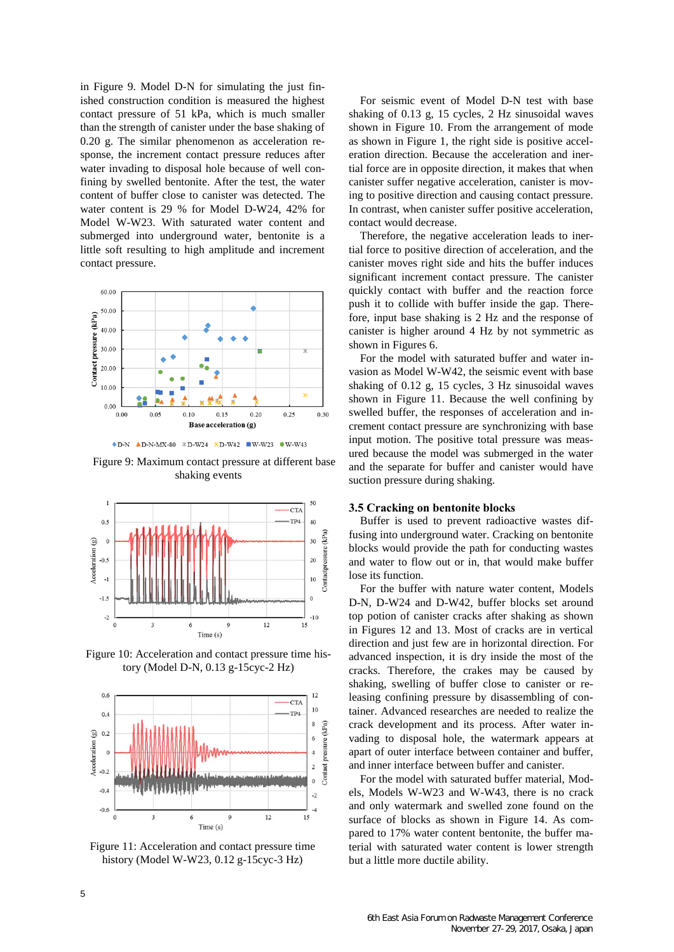in Figure 9. Model D-N for simulating the just finished construction condition is measured the highest contact pressure of 51 kPa, which is much smaller than the strength of canister under the base shaking of 0.20 g. The similar phenomenon as acceleration response, the increment contact pressure reduces after water invading to disposal hole because of well confining by swelled bentonite. After the test, the water content of buffer close to canister was detected. The water content is 29 % for Model D-W24, 42% for Model W-W23. With saturated water content and submerged into underground water, bentonite is a little soft resulting to high amplitude and increment contact pressure.



 $\bullet$  D-N  $\triangle$  D-N-MX-80  $\angle$  D-W24  $\times$  D-W42  $\angle$  W-W23  $\bullet$  W-W43

Figure 9: Maximum contact pressure at different base shaking events



Figure 10: Acceleration and contact pressure time history (Model D-N, 0.13 g-15cyc-2 Hz)



Figure 11: Acceleration and contact pressure time history (Model W-W23, 0.12 g-15cyc-3 Hz)

For seismic event of Model D-N test with base shaking of 0.13 g, 15 cycles, 2 Hz sinusoidal waves shown in Figure 10. From the arrangement of mode as shown in Figure 1, the right side is positive acceleration direction. Because the acceleration and inertial force are in opposite direction, it makes that when canister suffer negative acceleration, canister is moving to positive direction and causing contact pressure. In contrast, when canister suffer positive acceleration, contact would decrease.

Therefore, the negative acceleration leads to inertial force to positive direction of acceleration, and the canister moves right side and hits the buffer induces significant increment contact pressure. The canister quickly contact with buffer and the reaction force push it to collide with buffer inside the gap. Therefore, input base shaking is 2 Hz and the response of canister is higher around 4 Hz by not symmetric as shown in Figures 6.

For the model with saturated buffer and water invasion as Model W-W42, the seismic event with base shaking of 0.12 g, 15 cycles, 3 Hz sinusoidal waves shown in Figure 11. Because the well confining by swelled buffer, the responses of acceleration and increment contact pressure are synchronizing with base input motion. The positive total pressure was measured because the model was submerged in the water and the separate for buffer and canister would have suction pressure during shaking.

#### **3.5 Cracking on bentonite blocks**

Buffer is used to prevent radioactive wastes diffusing into underground water. Cracking on bentonite blocks would provide the path for conducting wastes and water to flow out or in, that would make buffer lose its function.

For the buffer with nature water content, Models D-N, D-W24 and D-W42, buffer blocks set around top potion of canister cracks after shaking as shown in Figures 12 and 13. Most of cracks are in vertical direction and just few are in horizontal direction. For advanced inspection, it is dry inside the most of the cracks. Therefore, the crakes may be caused by shaking, swelling of buffer close to canister or releasing confining pressure by disassembling of container. Advanced researches are needed to realize the crack development and its process. After water invading to disposal hole, the watermark appears at apart of outer interface between container and buffer, and inner interface between buffer and canister.

For the model with saturated buffer material, Models, Models W-W23 and W-W43, there is no crack and only watermark and swelled zone found on the surface of blocks as shown in Figure 14. As compared to 17% water content bentonite, the buffer material with saturated water content is lower strength but a little more ductile ability.